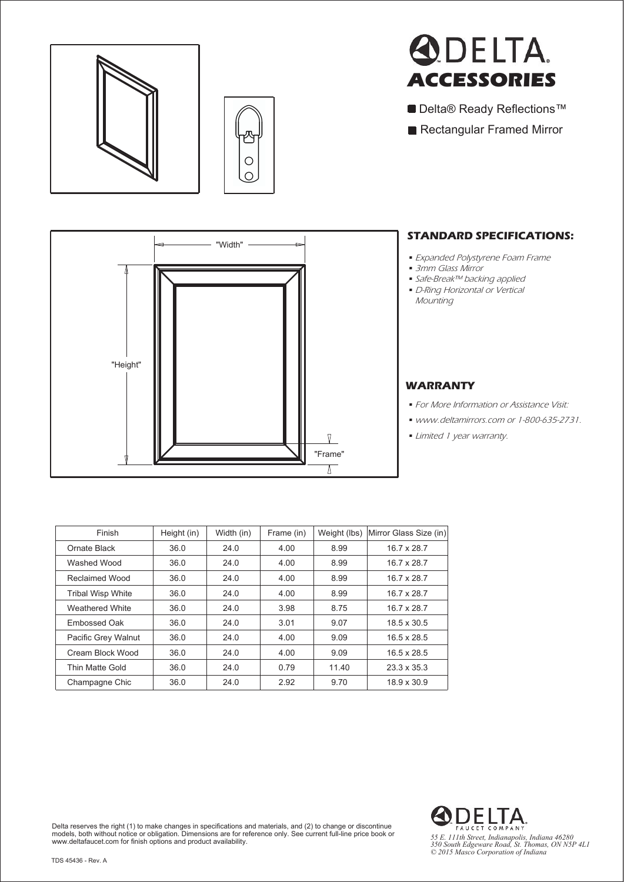

⅂

N





- Delta® Ready Reflections<sup>™</sup>
- Rectangular Framed Mirror

## **STANDARD SPECIFICATIONS:**

- *•* Expanded Polystyrene Foam Frame
- *•* 3mm Glass Mirror
- *•* Safe-Break™ backing applied
- *•* D-Ring Horizontal or Vertical **Mounting**



- *•* For More Information or Assistance Visit:
- *•* www.deltamirrors.com or 1-800-635-2731.
- *•* Limited 1 year warranty.

| Π<br>"Frame" |
|--------------|
|--------------|

"Width"

| Finish                   | Height (in) | Width (in) | Frame (in) | Weight (lbs) | Mirror Glass Size (in) |
|--------------------------|-------------|------------|------------|--------------|------------------------|
| Ornate Black             | 36.0        | 24.0       | 4.00       | 8.99         | 16.7 x 28.7            |
| Washed Wood              | 36.0        | 24.0       | 4.00       | 8.99         | 16.7 x 28.7            |
| Reclaimed Wood           | 36.0        | 24.0       | 4.00       | 8.99         | 16.7 x 28.7            |
| <b>Tribal Wisp White</b> | 36.0        | 24.0       | 4.00       | 8.99         | 16.7 x 28.7            |
| Weathered White          | 36.0        | 24.0       | 3.98       | 8.75         | 16.7 x 28.7            |
| Embossed Oak             | 36.0        | 24.0       | 3.01       | 9.07         | 18.5 x 30.5            |
| Pacific Grey Walnut      | 36.0        | 24.0       | 4.00       | 9.09         | $16.5 \times 28.5$     |
| Cream Block Wood         | 36.0        | 24.0       | 4.00       | 9.09         | $16.5 \times 28.5$     |
| Thin Matte Gold          | 36.0        | 24.0       | 0.79       | 11.40        | $23.3 \times 35.3$     |
| Champagne Chic           | 36.0        | 24.0       | 2.92       | 9.70         | 18.9 x 30.9            |

**ODELTA** *55 E. 111th Street, Indianapolis, Indiana 46280 350 South Edgeware Road, St. Thomas, ON N5P 4L1 © 2015 Masco Corporation of Indiana*

Delta reserves the right (1) to make changes in specifications and materials, and (2) to change or discontinue<br>models, both without notice or obligation. Dimensions are for reference only. See current full-line price book